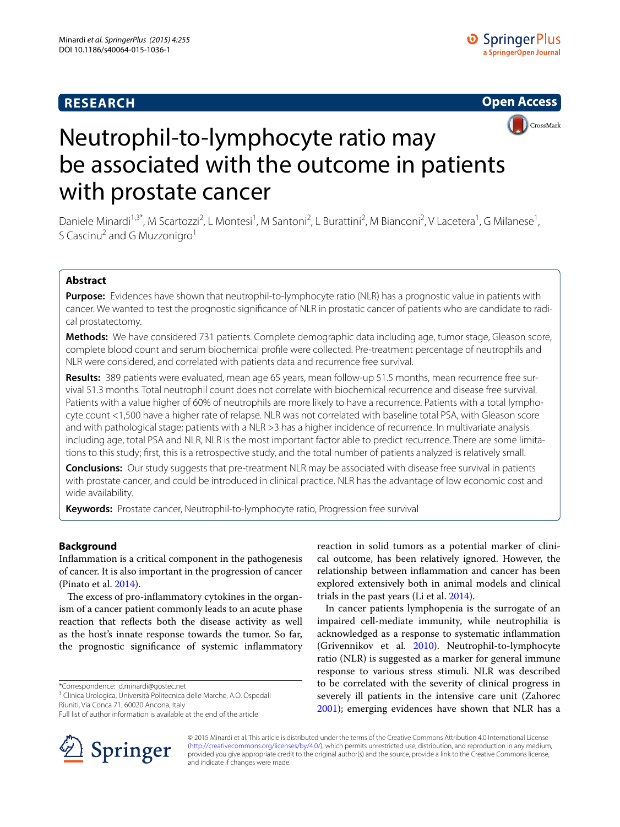# **RESEARCH**



# Neutrophil-to-lymphocyte ratio may be associated with the outcome in patients with prostate cancer

Daniele Minardi<sup>1,3\*</sup>, M Scartozzi<sup>2</sup>, L Montesi<sup>1</sup>, M Santoni<sup>2</sup>, L Burattini<sup>2</sup>, M Bianconi<sup>2</sup>, V Lacetera<sup>1</sup>, G Milanese<sup>1</sup>, S Cascinu<sup>2</sup> and G Muzzonigro<sup>1</sup>

## **Abstract**

**Purpose:** Evidences have shown that neutrophil-to-lymphocyte ratio (NLR) has a prognostic value in patients with cancer. We wanted to test the prognostic significance of NLR in prostatic cancer of patients who are candidate to radical prostatectomy.

**Methods:** We have considered 731 patients. Complete demographic data including age, tumor stage, Gleason score, complete blood count and serum biochemical profile were collected. Pre-treatment percentage of neutrophils and NLR were considered, and correlated with patients data and recurrence free survival.

**Results:** 389 patients were evaluated, mean age 65 years, mean follow-up 51.5 months, mean recurrence free survival 51.3 months. Total neutrophil count does not correlate with biochemical recurrence and disease free survival. Patients with a value higher of 60% of neutrophils are more likely to have a recurrence. Patients with a total lymphocyte count <1,500 have a higher rate of relapse. NLR was not correlated with baseline total PSA, with Gleason score and with pathological stage; patients with a NLR >3 has a higher incidence of recurrence. In multivariate analysis including age, total PSA and NLR, NLR is the most important factor able to predict recurrence. There are some limitations to this study; first, this is a retrospective study, and the total number of patients analyzed is relatively small.

**Conclusions:** Our study suggests that pre-treatment NLR may be associated with disease free survival in patients with prostate cancer, and could be introduced in clinical practice. NLR has the advantage of low economic cost and wide availability.

**Keywords:** Prostate cancer, Neutrophil-to-lymphocyte ratio, Progression free survival

## **Background**

Inflammation is a critical component in the pathogenesis of cancer. It is also important in the progression of cancer (Pinato et al. [2014\)](#page-4-0).

The excess of pro-inflammatory cytokines in the organism of a cancer patient commonly leads to an acute phase reaction that reflects both the disease activity as well as the host's innate response towards the tumor. So far, the prognostic significance of systemic inflammatory

\*Correspondence: d.minardi@gostec.net

<sup>3</sup> Clinica Urologica, Università Politecnica delle Marche, A.O. Ospedali Riuniti, Via Conca 71, 60020 Ancona, Italy

Full list of author information is available at the end of the article



reaction in solid tumors as a potential marker of clinical outcome, has been relatively ignored. However, the relationship between inflammation and cancer has been explored extensively both in animal models and clinical trials in the past years (Li et al. [2014](#page-4-1)).

In cancer patients lymphopenia is the surrogate of an impaired cell-mediate immunity, while neutrophilia is acknowledged as a response to systematic inflammation (Grivennikov et al. [2010\)](#page-4-2). Neutrophil-to-lymphocyte ratio (NLR) is suggested as a marker for general immune response to various stress stimuli. NLR was described to be correlated with the severity of clinical progress in severely ill patients in the intensive care unit (Zahorec [2001](#page-4-3)); emerging evidences have shown that NLR has a

© 2015 Minardi et al. This article is distributed under the terms of the Creative Commons Attribution 4.0 International License [\(http://creativecommons.org/licenses/by/4.0/\)](http://creativecommons.org/licenses/by/4.0/), which permits unrestricted use, distribution, and reproduction in any medium, provided you give appropriate credit to the original author(s) and the source, provide a link to the Creative Commons license, and indicate if changes were made.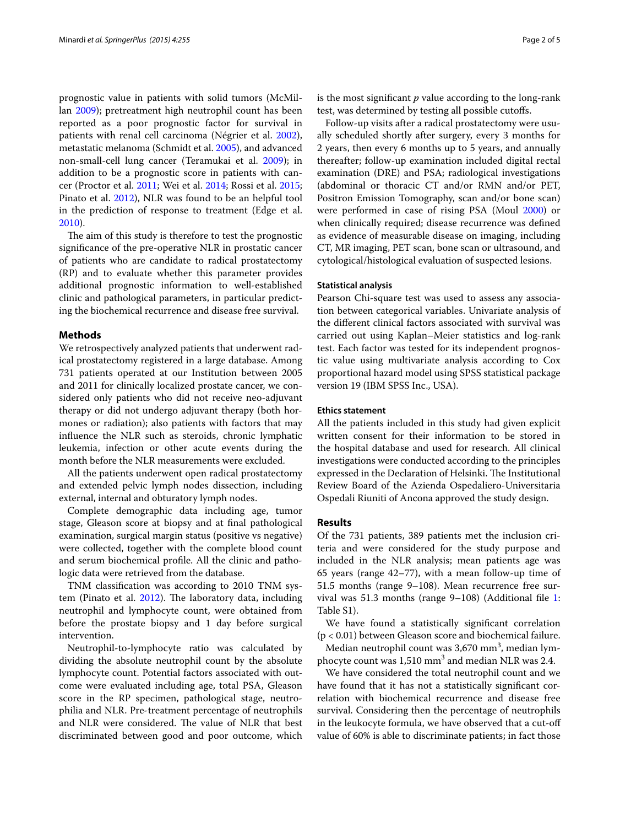prognostic value in patients with solid tumors (McMillan [2009](#page-4-4)); pretreatment high neutrophil count has been reported as a poor prognostic factor for survival in patients with renal cell carcinoma (Négrier et al. [2002](#page-4-5)), metastatic melanoma (Schmidt et al. [2005](#page-4-6)), and advanced non-small-cell lung cancer (Teramukai et al. [2009](#page-4-7)); in addition to be a prognostic score in patients with cancer (Proctor et al. [2011](#page-4-8); Wei et al. [2014](#page-4-9); Rossi et al. [2015](#page-4-10); Pinato et al. [2012](#page-4-11)), NLR was found to be an helpful tool in the prediction of response to treatment (Edge et al. [2010](#page-4-12)).

The aim of this study is therefore to test the prognostic significance of the pre-operative NLR in prostatic cancer of patients who are candidate to radical prostatectomy (RP) and to evaluate whether this parameter provides additional prognostic information to well-established clinic and pathological parameters, in particular predicting the biochemical recurrence and disease free survival.

## **Methods**

We retrospectively analyzed patients that underwent radical prostatectomy registered in a large database. Among 731 patients operated at our Institution between 2005 and 2011 for clinically localized prostate cancer, we considered only patients who did not receive neo-adjuvant therapy or did not undergo adjuvant therapy (both hormones or radiation); also patients with factors that may influence the NLR such as steroids, chronic lymphatic leukemia, infection or other acute events during the month before the NLR measurements were excluded.

All the patients underwent open radical prostatectomy and extended pelvic lymph nodes dissection, including external, internal and obturatory lymph nodes.

Complete demographic data including age, tumor stage, Gleason score at biopsy and at final pathological examination, surgical margin status (positive vs negative) were collected, together with the complete blood count and serum biochemical profile. All the clinic and pathologic data were retrieved from the database.

TNM classification was according to 2010 TNM system (Pinato et al. [2012\)](#page-4-11). The laboratory data, including neutrophil and lymphocyte count, were obtained from before the prostate biopsy and 1 day before surgical intervention.

Neutrophil-to-lymphocyte ratio was calculated by dividing the absolute neutrophil count by the absolute lymphocyte count. Potential factors associated with outcome were evaluated including age, total PSA, Gleason score in the RP specimen, pathological stage, neutrophilia and NLR. Pre-treatment percentage of neutrophils and NLR were considered. The value of NLR that best discriminated between good and poor outcome, which is the most significant *p* value according to the long-rank test, was determined by testing all possible cutoffs.

Follow-up visits after a radical prostatectomy were usually scheduled shortly after surgery, every 3 months for 2 years, then every 6 months up to 5 years, and annually thereafter; follow-up examination included digital rectal examination (DRE) and PSA; radiological investigations (abdominal or thoracic CT and/or RMN and/or PET, Positron Emission Tomography, scan and/or bone scan) were performed in case of rising PSA (Moul [2000](#page-4-13)) or when clinically required; disease recurrence was defined as evidence of measurable disease on imaging, including CT, MR imaging, PET scan, bone scan or ultrasound, and cytological/histological evaluation of suspected lesions.

## **Statistical analysis**

Pearson Chi-square test was used to assess any association between categorical variables. Univariate analysis of the different clinical factors associated with survival was carried out using Kaplan–Meier statistics and log-rank test. Each factor was tested for its independent prognostic value using multivariate analysis according to Cox proportional hazard model using SPSS statistical package version 19 (IBM SPSS Inc., USA).

#### **Ethics statement**

All the patients included in this study had given explicit written consent for their information to be stored in the hospital database and used for research. All clinical investigations were conducted according to the principles expressed in the Declaration of Helsinki. The Institutional Review Board of the Azienda Ospedaliero-Universitaria Ospedali Riuniti of Ancona approved the study design.

### **Results**

Of the 731 patients, 389 patients met the inclusion criteria and were considered for the study purpose and included in the NLR analysis; mean patients age was 65 years (range 42–77), with a mean follow-up time of 51.5 months (range 9–108). Mean recurrence free survival was 51.3 months (range 9–108) (Additional file [1](#page-3-0): Table S1).

We have found a statistically significant correlation (p < 0.01) between Gleason score and biochemical failure.

Median neutrophil count was 3,670  $\mathrm{mm}^3$ , median lymphocyte count was  $1,510$  mm<sup>3</sup> and median NLR was 2.4.

We have considered the total neutrophil count and we have found that it has not a statistically significant correlation with biochemical recurrence and disease free survival. Considering then the percentage of neutrophils in the leukocyte formula, we have observed that a cut-off value of 60% is able to discriminate patients; in fact those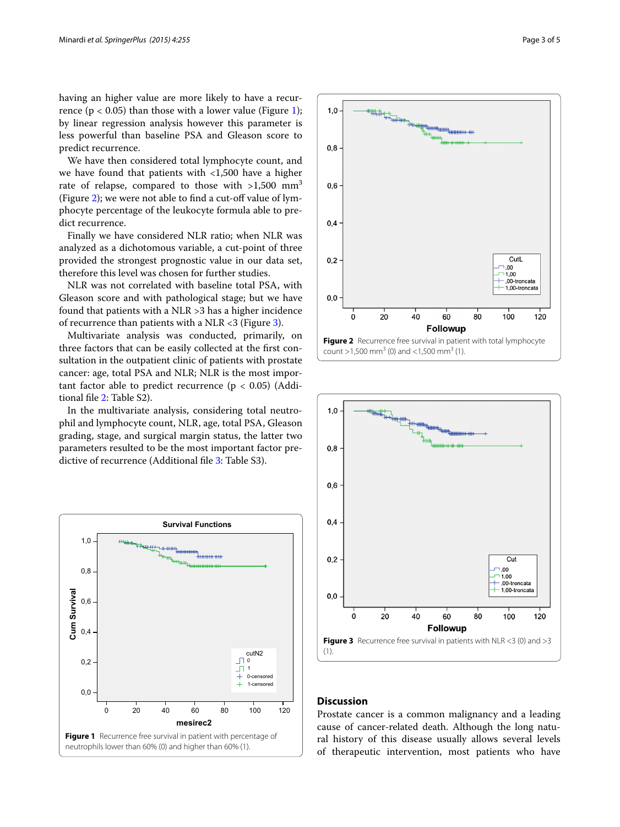having an higher value are more likely to have a recurrence ( $p < 0.05$ ) than those with a lower value (Figure [1](#page-2-0)); by linear regression analysis however this parameter is less powerful than baseline PSA and Gleason score to predict recurrence.

We have then considered total lymphocyte count, and we have found that patients with <1,500 have a higher rate of relapse, compared to those with  $>1,500$  mm<sup>3</sup> (Figure [2](#page-2-1)); we were not able to find a cut-off value of lymphocyte percentage of the leukocyte formula able to predict recurrence.

Finally we have considered NLR ratio; when NLR was analyzed as a dichotomous variable, a cut-point of three provided the strongest prognostic value in our data set, therefore this level was chosen for further studies.

NLR was not correlated with baseline total PSA, with Gleason score and with pathological stage; but we have found that patients with a NLR >3 has a higher incidence of recurrence than patients with a NLR  $<$ 3 (Figure [3](#page-2-2)).

Multivariate analysis was conducted, primarily, on three factors that can be easily collected at the first consultation in the outpatient clinic of patients with prostate cancer: age, total PSA and NLR; NLR is the most important factor able to predict recurrence ( $p < 0.05$ ) (Additional file [2](#page-3-1): Table S2).

In the multivariate analysis, considering total neutrophil and lymphocyte count, NLR, age, total PSA, Gleason grading, stage, and surgical margin status, the latter two parameters resulted to be the most important factor predictive of recurrence (Additional file [3:](#page-3-2) Table S3).

<span id="page-2-0"></span>



<span id="page-2-1"></span>

## <span id="page-2-2"></span>**Discussion**

Prostate cancer is a common malignancy and a leading cause of cancer-related death. Although the long natural history of this disease usually allows several levels of therapeutic intervention, most patients who have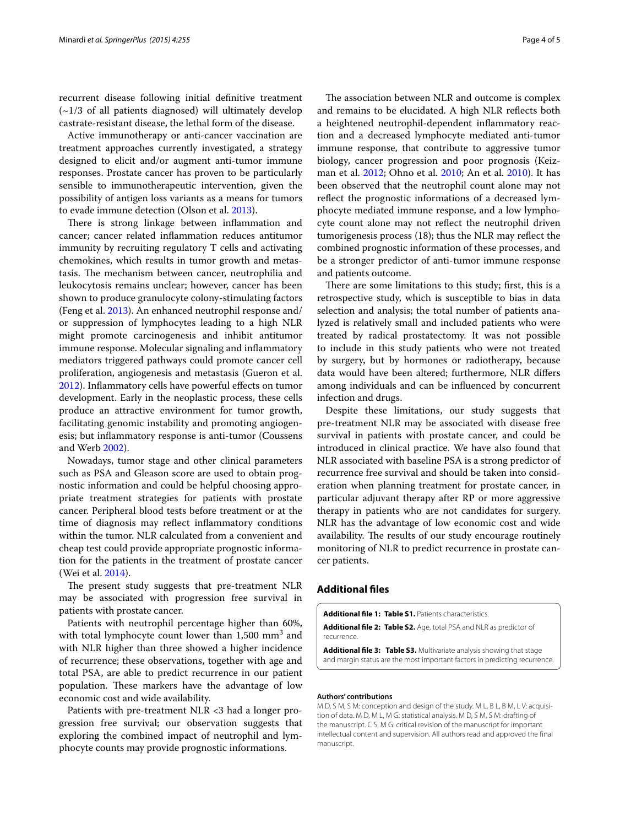recurrent disease following initial definitive treatment (~1/3 of all patients diagnosed) will ultimately develop castrate-resistant disease, the lethal form of the disease.

Active immunotherapy or anti-cancer vaccination are treatment approaches currently investigated, a strategy designed to elicit and/or augment anti-tumor immune responses. Prostate cancer has proven to be particularly sensible to immunotherapeutic intervention, given the possibility of antigen loss variants as a means for tumors to evade immune detection (Olson et al. [2013](#page-4-14)).

There is strong linkage between inflammation and cancer; cancer related inflammation reduces antitumor immunity by recruiting regulatory T cells and activating chemokines, which results in tumor growth and metastasis. The mechanism between cancer, neutrophilia and leukocytosis remains unclear; however, cancer has been shown to produce granulocyte colony-stimulating factors (Feng et al. [2013](#page-4-15)). An enhanced neutrophil response and/ or suppression of lymphocytes leading to a high NLR might promote carcinogenesis and inhibit antitumor immune response. Molecular signaling and inflammatory mediators triggered pathways could promote cancer cell proliferation, angiogenesis and metastasis (Gueron et al. [2012](#page-4-16)). Inflammatory cells have powerful effects on tumor development. Early in the neoplastic process, these cells produce an attractive environment for tumor growth, facilitating genomic instability and promoting angiogenesis; but inflammatory response is anti-tumor (Coussens and Werb [2002\)](#page-4-17).

Nowadays, tumor stage and other clinical parameters such as PSA and Gleason score are used to obtain prognostic information and could be helpful choosing appropriate treatment strategies for patients with prostate cancer. Peripheral blood tests before treatment or at the time of diagnosis may reflect inflammatory conditions within the tumor. NLR calculated from a convenient and cheap test could provide appropriate prognostic information for the patients in the treatment of prostate cancer (Wei et al. [2014](#page-4-9)).

The present study suggests that pre-treatment NLR may be associated with progression free survival in patients with prostate cancer.

Patients with neutrophil percentage higher than 60%, with total lymphocyte count lower than  $1,500$  mm<sup>3</sup> and with NLR higher than three showed a higher incidence of recurrence; these observations, together with age and total PSA, are able to predict recurrence in our patient population. These markers have the advantage of low economic cost and wide availability.

Patients with pre-treatment NLR <3 had a longer progression free survival; our observation suggests that exploring the combined impact of neutrophil and lymphocyte counts may provide prognostic informations.

The association between NLR and outcome is complex and remains to be elucidated. A high NLR reflects both a heightened neutrophil-dependent inflammatory reaction and a decreased lymphocyte mediated anti-tumor immune response, that contribute to aggressive tumor biology, cancer progression and poor prognosis (Keizman et al. [2012;](#page-4-18) Ohno et al. [2010](#page-4-19); An et al. [2010\)](#page-4-20). It has been observed that the neutrophil count alone may not reflect the prognostic informations of a decreased lymphocyte mediated immune response, and a low lymphocyte count alone may not reflect the neutrophil driven tumorigenesis process (18); thus the NLR may reflect the combined prognostic information of these processes, and be a stronger predictor of anti-tumor immune response and patients outcome.

There are some limitations to this study; first, this is a retrospective study, which is susceptible to bias in data selection and analysis; the total number of patients analyzed is relatively small and included patients who were treated by radical prostatectomy. It was not possible to include in this study patients who were not treated by surgery, but by hormones or radiotherapy, because data would have been altered; furthermore, NLR differs among individuals and can be influenced by concurrent infection and drugs.

Despite these limitations, our study suggests that pre-treatment NLR may be associated with disease free survival in patients with prostate cancer, and could be introduced in clinical practice. We have also found that NLR associated with baseline PSA is a strong predictor of recurrence free survival and should be taken into consideration when planning treatment for prostate cancer, in particular adjuvant therapy after RP or more aggressive therapy in patients who are not candidates for surgery. NLR has the advantage of low economic cost and wide availability. The results of our study encourage routinely monitoring of NLR to predict recurrence in prostate cancer patients.

## **Additional files**

<span id="page-3-0"></span>**Additional file 1: Table S1.** Patients characteristics.

<span id="page-3-2"></span><span id="page-3-1"></span>**Additional file 2: Table S2.** Age, total PSA and NLR as predictor of recurrence.

**Additional file 3: Table S3.** Multivariate analysis showing that stage and margin status are the most important factors in predicting recurrence.

#### **Authors' contributions**

M D, S M, S M: conception and design of the study. M L, B L, B M, L V: acquisition of data. M D, M L, M G: statistical analysis. M D, S M, S M: drafting of the manuscript. C S, M G: critical revision of the manuscript for important intellectual content and supervision. All authors read and approved the final manuscript.